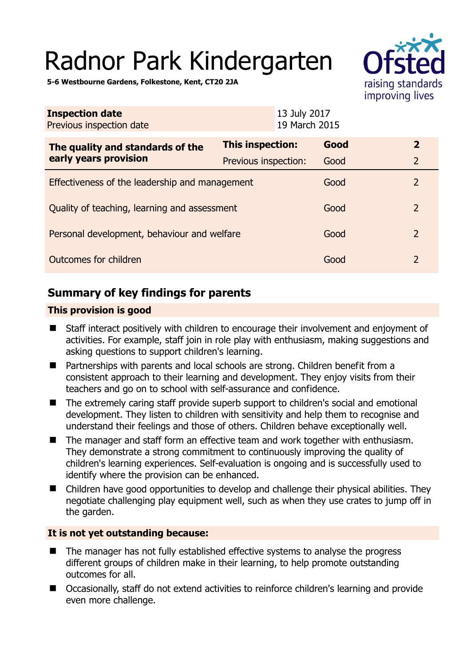# Radnor Park Kindergarten



**5-6 Westbourne Gardens, Folkestone, Kent, CT20 2JA** 

| <b>Inspection date</b><br>Previous inspection date        | 13 July 2017<br>19 March 2015 |      |                |  |
|-----------------------------------------------------------|-------------------------------|------|----------------|--|
| The quality and standards of the<br>early years provision | This inspection:              | Good | $\mathbf{2}$   |  |
|                                                           | Previous inspection:          | Good | $\overline{2}$ |  |
| Effectiveness of the leadership and management            |                               | Good | $\overline{2}$ |  |
| Quality of teaching, learning and assessment              |                               | Good | $\overline{2}$ |  |
| Personal development, behaviour and welfare               |                               | Good | $\overline{2}$ |  |
| Outcomes for children                                     |                               | Good | $\overline{2}$ |  |

# **Summary of key findings for parents**

## **This provision is good**

- Staff interact positively with children to encourage their involvement and enjoyment of activities. For example, staff join in role play with enthusiasm, making suggestions and asking questions to support children's learning.
- Partnerships with parents and local schools are strong. Children benefit from a consistent approach to their learning and development. They enjoy visits from their teachers and go on to school with self-assurance and confidence.
- The extremely caring staff provide superb support to children's social and emotional development. They listen to children with sensitivity and help them to recognise and understand their feelings and those of others. Children behave exceptionally well.
- The manager and staff form an effective team and work together with enthusiasm. They demonstrate a strong commitment to continuously improving the quality of children's learning experiences. Self-evaluation is ongoing and is successfully used to identify where the provision can be enhanced.
- Children have good opportunities to develop and challenge their physical abilities. They negotiate challenging play equipment well, such as when they use crates to jump off in the garden.

#### **It is not yet outstanding because:**

- The manager has not fully established effective systems to analyse the progress different groups of children make in their learning, to help promote outstanding outcomes for all.
- Occasionally, staff do not extend activities to reinforce children's learning and provide even more challenge.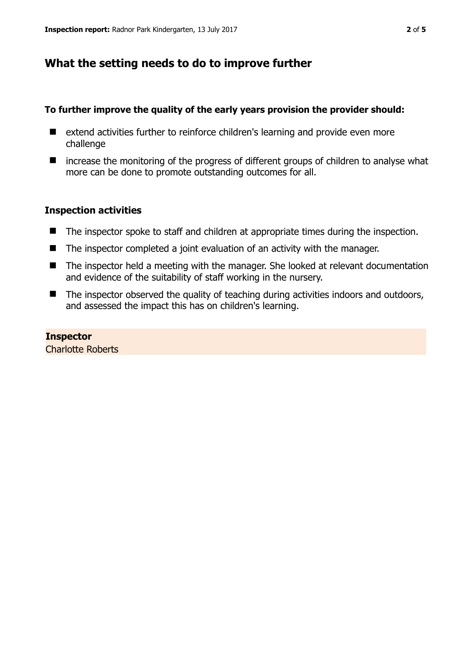# **What the setting needs to do to improve further**

#### **To further improve the quality of the early years provision the provider should:**

- extend activities further to reinforce children's learning and provide even more challenge
- increase the monitoring of the progress of different groups of children to analyse what more can be done to promote outstanding outcomes for all.

## **Inspection activities**

- The inspector spoke to staff and children at appropriate times during the inspection.
- The inspector completed a joint evaluation of an activity with the manager.
- The inspector held a meeting with the manager. She looked at relevant documentation and evidence of the suitability of staff working in the nursery.
- The inspector observed the quality of teaching during activities indoors and outdoors, and assessed the impact this has on children's learning.

## **Inspector**

Charlotte Roberts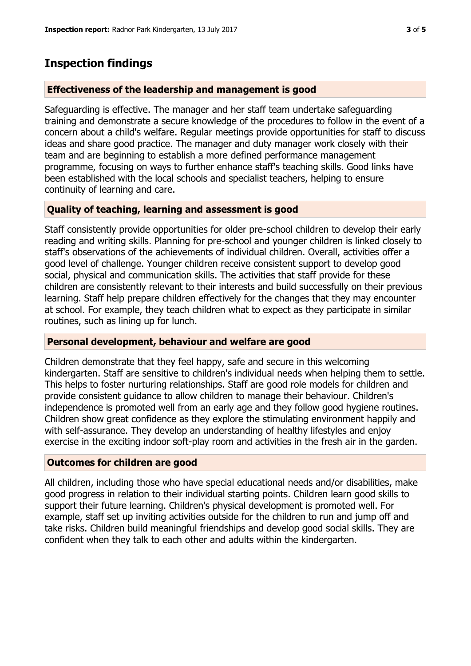# **Inspection findings**

## **Effectiveness of the leadership and management is good**

Safeguarding is effective. The manager and her staff team undertake safeguarding training and demonstrate a secure knowledge of the procedures to follow in the event of a concern about a child's welfare. Regular meetings provide opportunities for staff to discuss ideas and share good practice. The manager and duty manager work closely with their team and are beginning to establish a more defined performance management programme, focusing on ways to further enhance staff's teaching skills. Good links have been established with the local schools and specialist teachers, helping to ensure continuity of learning and care.

## **Quality of teaching, learning and assessment is good**

Staff consistently provide opportunities for older pre-school children to develop their early reading and writing skills. Planning for pre-school and younger children is linked closely to staff's observations of the achievements of individual children. Overall, activities offer a good level of challenge. Younger children receive consistent support to develop good social, physical and communication skills. The activities that staff provide for these children are consistently relevant to their interests and build successfully on their previous learning. Staff help prepare children effectively for the changes that they may encounter at school. For example, they teach children what to expect as they participate in similar routines, such as lining up for lunch.

#### **Personal development, behaviour and welfare are good**

Children demonstrate that they feel happy, safe and secure in this welcoming kindergarten. Staff are sensitive to children's individual needs when helping them to settle. This helps to foster nurturing relationships. Staff are good role models for children and provide consistent guidance to allow children to manage their behaviour. Children's independence is promoted well from an early age and they follow good hygiene routines. Children show great confidence as they explore the stimulating environment happily and with self-assurance. They develop an understanding of healthy lifestyles and enjoy exercise in the exciting indoor soft-play room and activities in the fresh air in the garden.

#### **Outcomes for children are good**

All children, including those who have special educational needs and/or disabilities, make good progress in relation to their individual starting points. Children learn good skills to support their future learning. Children's physical development is promoted well. For example, staff set up inviting activities outside for the children to run and jump off and take risks. Children build meaningful friendships and develop good social skills. They are confident when they talk to each other and adults within the kindergarten.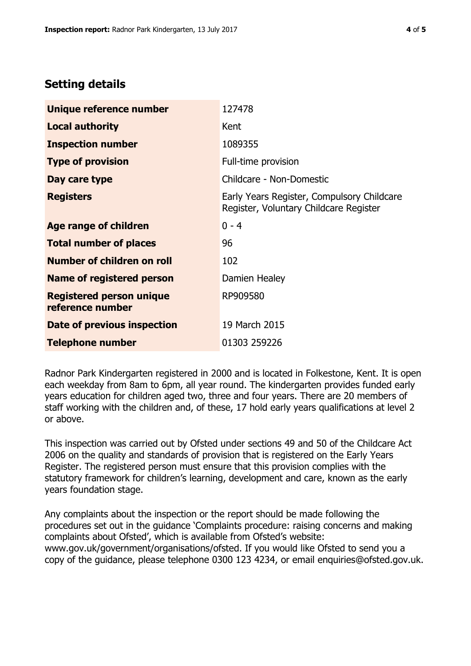## **Setting details**

| Unique reference number                             | 127478                                                                               |  |
|-----------------------------------------------------|--------------------------------------------------------------------------------------|--|
| <b>Local authority</b>                              | Kent                                                                                 |  |
| <b>Inspection number</b>                            | 1089355                                                                              |  |
| <b>Type of provision</b>                            | Full-time provision                                                                  |  |
| Day care type                                       | Childcare - Non-Domestic                                                             |  |
| <b>Registers</b>                                    | Early Years Register, Compulsory Childcare<br>Register, Voluntary Childcare Register |  |
| Age range of children                               | $0 - 4$                                                                              |  |
| <b>Total number of places</b>                       | 96                                                                                   |  |
| Number of children on roll                          | 102                                                                                  |  |
| Name of registered person                           | Damien Healey                                                                        |  |
| <b>Registered person unique</b><br>reference number | RP909580                                                                             |  |
| Date of previous inspection                         | 19 March 2015                                                                        |  |
| <b>Telephone number</b>                             | 01303 259226                                                                         |  |

Radnor Park Kindergarten registered in 2000 and is located in Folkestone, Kent. It is open each weekday from 8am to 6pm, all year round. The kindergarten provides funded early years education for children aged two, three and four years. There are 20 members of staff working with the children and, of these, 17 hold early years qualifications at level 2 or above.

This inspection was carried out by Ofsted under sections 49 and 50 of the Childcare Act 2006 on the quality and standards of provision that is registered on the Early Years Register. The registered person must ensure that this provision complies with the statutory framework for children's learning, development and care, known as the early years foundation stage.

Any complaints about the inspection or the report should be made following the procedures set out in the guidance 'Complaints procedure: raising concerns and making complaints about Ofsted', which is available from Ofsted's website: www.gov.uk/government/organisations/ofsted. If you would like Ofsted to send you a copy of the guidance, please telephone 0300 123 4234, or email enquiries@ofsted.gov.uk.